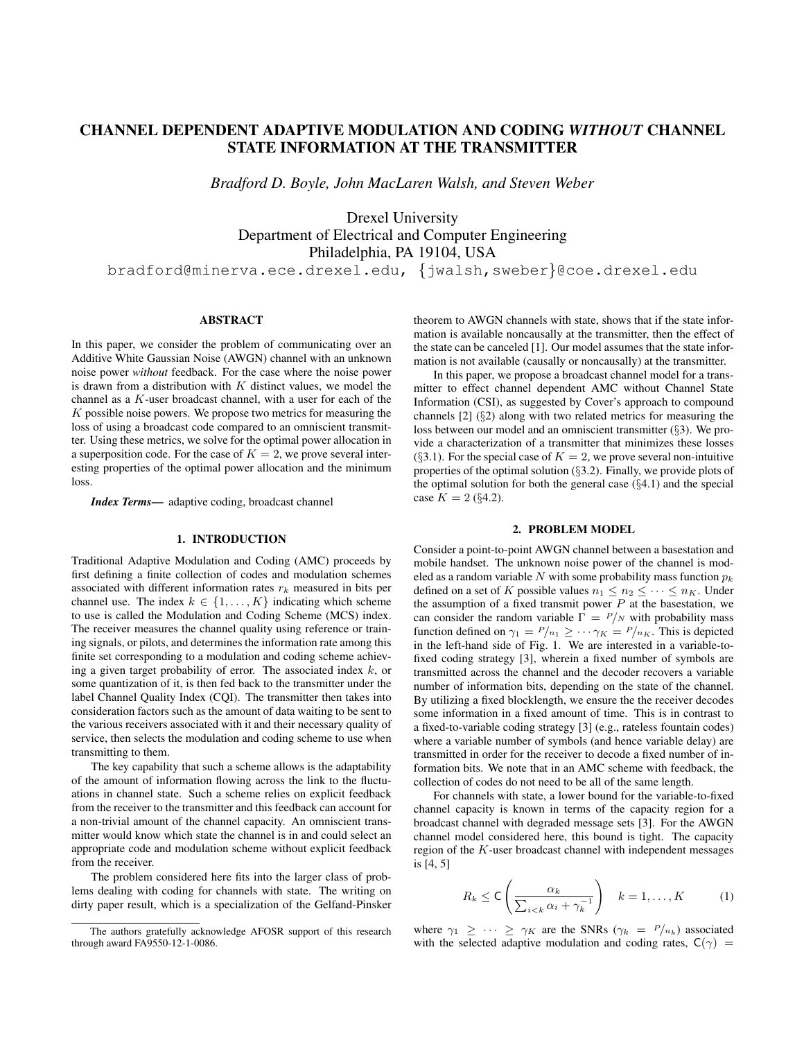# CHANNEL DEPENDENT ADAPTIVE MODULATION AND CODING *WITHOUT* CHANNEL STATE INFORMATION AT THE TRANSMITTER

*Bradford D. Boyle, John MacLaren Walsh, and Steven Weber*

Drexel University Department of Electrical and Computer Engineering Philadelphia, PA 19104, USA bradford@minerva.ece.drexel.edu, {jwalsh,sweber}@coe.drexel.edu

# ABSTRACT

In this paper, we consider the problem of communicating over an Additive White Gaussian Noise (AWGN) channel with an unknown noise power *without* feedback. For the case where the noise power is drawn from a distribution with  $K$  distinct values, we model the channel as a K-user broadcast channel, with a user for each of the  $K$  possible noise powers. We propose two metrics for measuring the loss of using a broadcast code compared to an omniscient transmitter. Using these metrics, we solve for the optimal power allocation in a superposition code. For the case of  $K = 2$ , we prove several interesting properties of the optimal power allocation and the minimum loss.

*Index Terms*— adaptive coding, broadcast channel

## 1. INTRODUCTION

Traditional Adaptive Modulation and Coding (AMC) proceeds by first defining a finite collection of codes and modulation schemes associated with different information rates  $r_k$  measured in bits per channel use. The index  $k \in \{1, ..., K\}$  indicating which scheme to use is called the Modulation and Coding Scheme (MCS) index. The receiver measures the channel quality using reference or training signals, or pilots, and determines the information rate among this finite set corresponding to a modulation and coding scheme achieving a given target probability of error. The associated index  $k$ , or some quantization of it, is then fed back to the transmitter under the label Channel Quality Index (CQI). The transmitter then takes into consideration factors such as the amount of data waiting to be sent to the various receivers associated with it and their necessary quality of service, then selects the modulation and coding scheme to use when transmitting to them.

The key capability that such a scheme allows is the adaptability of the amount of information flowing across the link to the fluctuations in channel state. Such a scheme relies on explicit feedback from the receiver to the transmitter and this feedback can account for a non-trivial amount of the channel capacity. An omniscient transmitter would know which state the channel is in and could select an appropriate code and modulation scheme without explicit feedback from the receiver.

The problem considered here fits into the larger class of problems dealing with coding for channels with state. The writing on dirty paper result, which is a specialization of the Gelfand-Pinsker theorem to AWGN channels with state, shows that if the state information is available noncausally at the transmitter, then the effect of the state can be canceled [1]. Our model assumes that the state information is not available (causally or noncausally) at the transmitter.

In this paper, we propose a broadcast channel model for a transmitter to effect channel dependent AMC without Channel State Information (CSI), as suggested by Cover's approach to compound channels [2] (§2) along with two related metrics for measuring the loss between our model and an omniscient transmitter (§3). We provide a characterization of a transmitter that minimizes these losses (§3.1). For the special case of  $K = 2$ , we prove several non-intuitive properties of the optimal solution (§3.2). Finally, we provide plots of the optimal solution for both the general case  $(\S 4.1)$  and the special case  $K = 2$  (§4.2).

#### 2. PROBLEM MODEL

Consider a point-to-point AWGN channel between a basestation and mobile handset. The unknown noise power of the channel is modeled as a random variable N with some probability mass function  $p_k$ defined on a set of K possible values  $n_1 \leq n_2 \leq \cdots \leq n_K$ . Under the assumption of a fixed transmit power  $P$  at the basestation, we can consider the random variable  $\Gamma = P/N$  with probability mass function defined on  $\gamma_1 = P/n_1 \ge \cdots \gamma_K = P/n_K$ . This is depicted in the left-hand side of Fig. 1. We are interested in a variable-tofixed coding strategy [3], wherein a fixed number of symbols are transmitted across the channel and the decoder recovers a variable number of information bits, depending on the state of the channel. By utilizing a fixed blocklength, we ensure the the receiver decodes some information in a fixed amount of time. This is in contrast to a fixed-to-variable coding strategy [3] (e.g., rateless fountain codes) where a variable number of symbols (and hence variable delay) are transmitted in order for the receiver to decode a fixed number of information bits. We note that in an AMC scheme with feedback, the collection of codes do not need to be all of the same length.

For channels with state, a lower bound for the variable-to-fixed channel capacity is known in terms of the capacity region for a broadcast channel with degraded message sets [3]. For the AWGN channel model considered here, this bound is tight. The capacity region of the K-user broadcast channel with independent messages is [4, 5]

$$
R_k \leq \mathsf{C}\left(\frac{\alpha_k}{\sum_{i < k} \alpha_i + \gamma_k^{-1}}\right) \quad k = 1, \dots, K \tag{1}
$$

where  $\gamma_1 \geq \cdots \geq \gamma_K$  are the SNRs  $(\gamma_k = P/n_k)$  associated with the selected adaptive modulation and coding rates,  $C(\gamma)$  =

The authors gratefully acknowledge AFOSR support of this research through award FA9550-12-1-0086.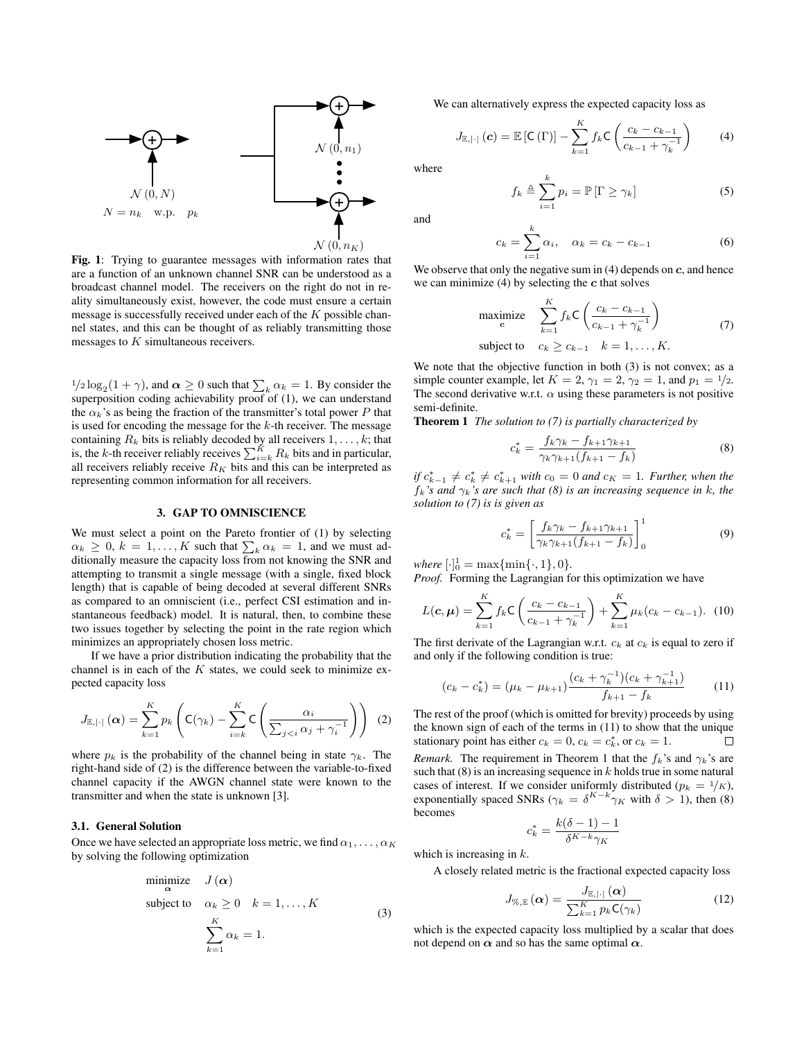

Fig. 1: Trying to guarantee messages with information rates that are a function of an unknown channel SNR can be understood as a broadcast channel model. The receivers on the right do not in reality simultaneously exist, however, the code must ensure a certain message is successfully received under each of the K possible channel states, and this can be thought of as reliably transmitting those messages to K simultaneous receivers.

 $\frac{1}{2} \log_2(1 + \gamma)$ , and  $\alpha \ge 0$  such that  $\sum_k \alpha_k = 1$ . By consider the superposition coding achievability proof of (1), we can understand the  $\alpha_k$ 's as being the fraction of the transmitter's total power P that is used for encoding the message for the  $k$ -th receiver. The message containing  $R_k$  bits is reliably decoded by all receivers  $1, \ldots, k$ ; that is, the k-th receiver reliably receives  $\sum_{i=k}^{K} R_k$  bits and in particular, all receivers reliably receive  $R_K$  bits and this can be interpreted as representing common information for all receivers.

## 3. GAP TO OMNISCIENCE

We must select a point on the Pareto frontier of (1) by selecting  $\alpha_k \geq 0, k = 1, \ldots, K$  such that  $\sum_k \alpha_k = 1$ , and we must additionally measure the capacity loss from not knowing the SNR and attempting to transmit a single message (with a single, fixed block length) that is capable of being decoded at several different SNRs as compared to an omniscient (i.e., perfect CSI estimation and instantaneous feedback) model. It is natural, then, to combine these two issues together by selecting the point in the rate region which minimizes an appropriately chosen loss metric.

If we have a prior distribution indicating the probability that the channel is in each of the  $K$  states, we could seek to minimize expected capacity loss

$$
J_{\mathbb{E},|\cdot|}(\boldsymbol{\alpha}) = \sum_{k=1}^{K} p_k \left( C(\gamma_k) - \sum_{i=k}^{K} C\left(\frac{\alpha_i}{\sum_{j
$$

where  $p_k$  is the probability of the channel being in state  $\gamma_k$ . The right-hand side of (2) is the difference between the variable-to-fixed channel capacity if the AWGN channel state were known to the transmitter and when the state is unknown [3].

#### 3.1. General Solution

Once we have selected an appropriate loss metric, we find  $\alpha_1, \ldots, \alpha_K$ by solving the following optimization

minimize 
$$
J(\alpha)
$$
  
\nsubject to  $\alpha_k \ge 0$   $k = 1,..., K$   
\n
$$
\sum_{k=1}^{K} \alpha_k = 1.
$$
\n(3)

We can alternatively express the expected capacity loss as

$$
J_{\mathbb{E},|\cdot|}(\mathbf{c}) = \mathbb{E}\left[\mathsf{C}\left(\Gamma\right)\right] - \sum_{k=1}^{K} f_k \mathsf{C}\left(\frac{c_k - c_{k-1}}{c_{k-1} + \gamma_k^{-1}}\right) \tag{4}
$$

where

$$
f_k \triangleq \sum_{i=1}^k p_i = \mathbb{P}\left[\Gamma \ge \gamma_k\right] \tag{5}
$$

and

$$
c_k = \sum_{i=1}^k \alpha_i, \quad \alpha_k = c_k - c_{k-1} \tag{6}
$$

We observe that only the negative sum in  $(4)$  depends on c, and hence we can minimize  $(4)$  by selecting the c that solves

$$
\begin{array}{ll}\text{maximize} & \sum_{k=1}^{K} f_k \mathsf{C} \left( \frac{c_k - c_{k-1}}{c_{k-1} + \gamma_k^{-1}} \right) \\ \text{subject to} & c_k \ge c_{k-1} \quad k = 1, \dots, K. \end{array} \tag{7}
$$

We note that the objective function in both (3) is not convex; as a simple counter example, let  $K = 2$ ,  $\gamma_1 = 2$ ,  $\gamma_2 = 1$ , and  $p_1 = \frac{1}{2}$ . The second derivative w.r.t.  $\alpha$  using these parameters is not positive semi-definite.

Theorem 1 *The solution to (7) is partially characterized by*

$$
c_k^* = \frac{f_k \gamma_k - f_{k+1} \gamma_{k+1}}{\gamma_k \gamma_{k+1} (f_{k+1} - f_k)}
$$
(8)

*if*  $c_{k-1}^*$  ≠  $c_k^*$  ≠  $c_{k+1}^*$  *with*  $c_0 = 0$  *and*  $c_K = 1$ *. Further, when the*  $f_k$ 's and  $\gamma_k$ 's are such that (8) is an increasing sequence in k, the *solution to (7) is is given as*

$$
c_k^* = \left[\frac{f_k \gamma_k - f_{k+1} \gamma_{k+1}}{\gamma_k \gamma_{k+1} (f_{k+1} - f_k)}\right]_0^1 \tag{9}
$$

 $where \begin{bmatrix} \cdot \end{bmatrix}^1_0 = \max\{ \min\{ \cdot, 1\}, 0\}.$ 

*Proof.* Forming the Lagrangian for this optimization we have

$$
L(c, \mu) = \sum_{k=1}^{K} f_k C\left(\frac{c_k - c_{k-1}}{c_{k-1} + \gamma_k^{-1}}\right) + \sum_{k=1}^{K} \mu_k (c_k - c_{k-1}). \tag{10}
$$

The first derivate of the Lagrangian w.r.t.  $c_k$  at  $c_k$  is equal to zero if and only if the following condition is true:

$$
(c_k - c_k^*) = (\mu_k - \mu_{k+1}) \frac{(c_k + \gamma_k^{-1})(c_k + \gamma_{k+1}^{-1})}{f_{k+1} - f_k}
$$
 (11)

The rest of the proof (which is omitted for brevity) proceeds by using the known sign of each of the terms in (11) to show that the unique stationary point has either  $c_k = 0$ ,  $c_k = c_k^*$ , or  $c_k = 1$ .  $\Box$ *Remark.* The requirement in Theorem 1 that the  $f_k$ 's and  $\gamma_k$ 's are such that  $(8)$  is an increasing sequence in k holds true in some natural cases of interest. If we consider uniformly distributed ( $p_k = 1/K$ ), exponentially spaced SNRs ( $\gamma_k = \delta^{K-k} \gamma_K$  with  $\delta > 1$ ), then (8) becomes

$$
c_k^* = \frac{k(\delta - 1) - 1}{\delta^{K - k}\gamma_K}
$$

which is increasing in  $k$ .

A closely related metric is the fractional expected capacity loss

$$
J_{\%,\mathbb{E}}\left(\boldsymbol{\alpha}\right) = \frac{J_{\mathbb{E},\left|\cdot\right|}\left(\boldsymbol{\alpha}\right)}{\sum_{k=1}^{K} p_k \mathsf{C}(\gamma_k)}
$$
(12)

which is the expected capacity loss multiplied by a scalar that does not depend on  $\alpha$  and so has the same optimal  $\alpha$ .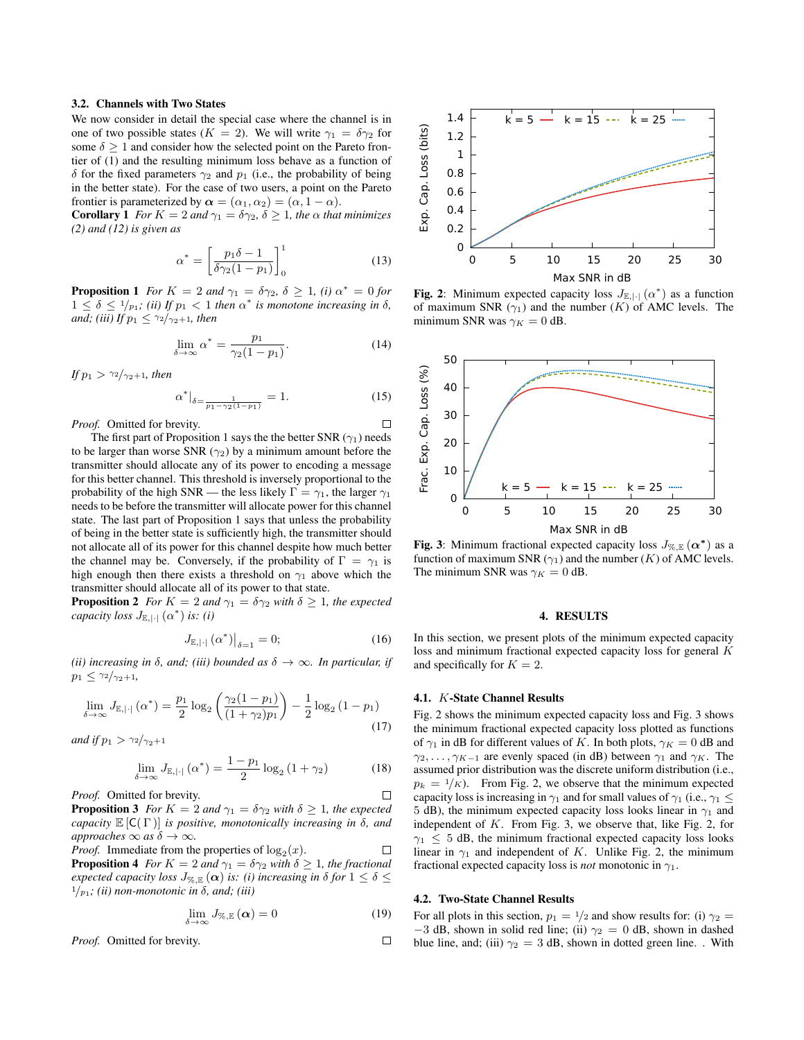## 3.2. Channels with Two States

We now consider in detail the special case where the channel is in one of two possible states ( $K = 2$ ). We will write  $\gamma_1 = \delta \gamma_2$  for some  $\delta \geq 1$  and consider how the selected point on the Pareto frontier of (1) and the resulting minimum loss behave as a function of δ for the fixed parameters  $γ_2$  and  $p_1$  (i.e., the probability of being in the better state). For the case of two users, a point on the Pareto frontier is parameterized by  $\alpha = (\alpha_1, \alpha_2) = (\alpha, 1 - \alpha)$ .

**Corollary 1** *For*  $K = 2$  *and*  $\gamma_1 = \delta \gamma_2$ ,  $\delta \ge 1$ *, the*  $\alpha$  *that minimizes (2) and (12) is given as*

$$
\alpha^* = \left[\frac{p_1 \delta - 1}{\delta \gamma_2 (1 - p_1)}\right]_0^1 \tag{13}
$$

**Proposition 1** *For*  $K = 2$  *and*  $\gamma_1 = \delta \gamma_2$ ,  $\delta \ge 1$ , (*i*)  $\alpha^* = 0$  *for*  $1 \leq \delta \leq \frac{1}{p_1}$ ; (ii) If  $p_1 < 1$  then  $\alpha^*$  is monotone increasing in  $\delta$ , *and; (iii)* If  $p_1 \leq \frac{\gamma_2}{\gamma_2+1}$ *, then* 

$$
\lim_{\delta \to \infty} \alpha^* = \frac{p_1}{\gamma_2 (1 - p_1)}.
$$
\n(14)

*If*  $p_1 > \frac{\gamma_2}{\gamma_2 + 1}$ *, then* 

$$
\alpha^*|_{\delta = \frac{1}{p_1 - \gamma_2(1 - p_1)}} = 1. \tag{15}
$$

 $\Box$ 

 $\Box$ 

 $\Box$ 

*Proof.* Omitted for brevity.

The first part of Proposition 1 says the the better SNR ( $\gamma_1$ ) needs to be larger than worse SNR ( $\gamma_2$ ) by a minimum amount before the transmitter should allocate any of its power to encoding a message for this better channel. This threshold is inversely proportional to the probability of the high SNR — the less likely  $\Gamma = \gamma_1$ , the larger  $\gamma_1$ needs to be before the transmitter will allocate power for this channel state. The last part of Proposition 1 says that unless the probability of being in the better state is sufficiently high, the transmitter should not allocate all of its power for this channel despite how much better the channel may be. Conversely, if the probability of  $\Gamma = \gamma_1$  is high enough then there exists a threshold on  $\gamma_1$  above which the transmitter should allocate all of its power to that state.

**Proposition 2** *For*  $K = 2$  *and*  $\gamma_1 = \delta \gamma_2$  *with*  $\delta \geq 1$ *, the expected capacity loss*  $J_{\mathbb{E},|\cdot|}(\alpha^*)$  *is: (i)* 

$$
J_{\mathbb{E},|\cdot|}(\alpha^*)\big|_{\delta=1} = 0; \tag{16}
$$

*(ii) increasing in*  $\delta$ *, and; (iii) bounded as*  $\delta \rightarrow \infty$ *. In particular, if*  $p_1 \leq \frac{\gamma_2}{\gamma_2+1}$ 

$$
\lim_{\delta \to \infty} J_{\mathbb{E}, |\cdot|}(\alpha^*) = \frac{p_1}{2} \log_2 \left( \frac{\gamma_2 (1 - p_1)}{(1 + \gamma_2) p_1} \right) - \frac{1}{2} \log_2 (1 - p_1)
$$
\n(17)

*and if*  $p_1 > \frac{\gamma_2}{\gamma_2+1}$ 

$$
\lim_{\delta \to \infty} J_{\mathbb{E}, |\cdot|} (\alpha^*) = \frac{1 - p_1}{2} \log_2 (1 + \gamma_2)
$$
 (18)

*Proof.* Omitted for brevity.

**Proposition 3** *For*  $K = 2$  *and*  $\gamma_1 = \delta \gamma_2$  *with*  $\delta \geq 1$ *, the expected capacity* E [C( Γ )] *is positive, monotonically increasing in* δ*, and approaches*  $\infty$  *as*  $\delta \to \infty$ *.* 

*Proof.* Immediately the properties of 
$$
\log_2(x)
$$
.  $\Box$ 

**Proposition 4** *For*  $K = 2$  *and*  $\gamma_1 = \delta \gamma_2$  *with*  $\delta \geq 1$ *, the fractional expected capacity loss*  $J_{\%,\mathbb{E}}(\boldsymbol{\alpha})$  *is: (i) increasing in*  $\delta$  *for*  $1 \leq \delta \leq$  $1/p_1$ *; (ii) non-monotonic in*  $\delta$ *, and; (iii)* 

$$
\lim_{\delta \to \infty} J_{\%,\mathbb{E}}(\alpha) = 0 \tag{19}
$$

*Proof.* Omitted for brevity.



Fig. 2: Minimum expected capacity loss  $J_{\mathbb{E},|\cdot|}(\alpha^*)$  as a function of maximum SNR  $(\gamma_1)$  and the number  $(K)$  of AMC levels. The minimum SNR was  $\gamma_K = 0$  dB.



Fig. 3: Minimum fractional expected capacity loss  $J_{\%,\mathbb{E}}(\alpha^*)$  as a function of maximum SNR ( $\gamma_1$ ) and the number (K) of AMC levels. The minimum SNR was  $\gamma_K = 0$  dB.

#### 4. RESULTS

In this section, we present plots of the minimum expected capacity loss and minimum fractional expected capacity loss for general K and specifically for  $K = 2$ .

#### 4.1. K-State Channel Results

Fig. 2 shows the minimum expected capacity loss and Fig. 3 shows the minimum fractional expected capacity loss plotted as functions of  $\gamma_1$  in dB for different values of K. In both plots,  $\gamma_K = 0$  dB and  $\gamma_2, \ldots, \gamma_{K-1}$  are evenly spaced (in dB) between  $\gamma_1$  and  $\gamma_K$ . The assumed prior distribution was the discrete uniform distribution (i.e.,  $p_k = 1/k$ . From Fig. 2, we observe that the minimum expected capacity loss is increasing in  $\gamma_1$  and for small values of  $\gamma_1$  (i.e.,  $\gamma_1 \leq$ 5 dB), the minimum expected capacity loss looks linear in  $\gamma_1$  and independent of  $K$ . From Fig. 3, we observe that, like Fig. 2, for  $\gamma_1 \leq 5$  dB, the minimum fractional expected capacity loss looks linear in  $\gamma_1$  and independent of K. Unlike Fig. 2, the minimum fractional expected capacity loss is *not* monotonic in  $\gamma_1$ .

## 4.2. Two-State Channel Results

For all plots in this section,  $p_1 = 1/2$  and show results for: (i)  $\gamma_2 =$  $-3$  dB, shown in solid red line; (ii)  $\gamma_2 = 0$  dB, shown in dashed blue line, and; (iii)  $\gamma_2 = 3$  dB, shown in dotted green line. . With